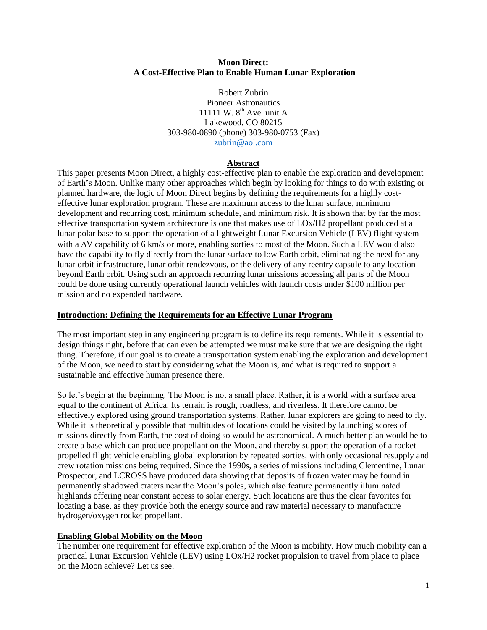#### **Moon Direct: A Cost-Effective Plan to Enable Human Lunar Exploration**

Robert Zubrin Pioneer Astronautics 11111 W.  $8<sup>th</sup>$  Ave. unit A Lakewood, CO 80215 303-980-0890 (phone) 303-980-0753 (Fax) [zubrin@aol.com](mailto:zubrin@aol.com)

### **Abstract**

This paper presents Moon Direct, a highly cost-effective plan to enable the exploration and development of Earth's Moon. Unlike many other approaches which begin by looking for things to do with existing or planned hardware, the logic of Moon Direct begins by defining the requirements for a highly costeffective lunar exploration program. These are maximum access to the lunar surface, minimum development and recurring cost, minimum schedule, and minimum risk. It is shown that by far the most effective transportation system architecture is one that makes use of LOx/H2 propellant produced at a lunar polar base to support the operation of a lightweight Lunar Excursion Vehicle (LEV) flight system with a  $\Delta V$  capability of 6 km/s or more, enabling sorties to most of the Moon. Such a LEV would also have the capability to fly directly from the lunar surface to low Earth orbit, eliminating the need for any lunar orbit infrastructure, lunar orbit rendezvous, or the delivery of any reentry capsule to any location beyond Earth orbit. Using such an approach recurring lunar missions accessing all parts of the Moon could be done using currently operational launch vehicles with launch costs under \$100 million per mission and no expended hardware.

### **Introduction: Defining the Requirements for an Effective Lunar Program**

The most important step in any engineering program is to define its requirements. While it is essential to design things right, before that can even be attempted we must make sure that we are designing the right thing. Therefore, if our goal is to create a transportation system enabling the exploration and development of the Moon, we need to start by considering what the Moon is, and what is required to support a sustainable and effective human presence there.

So let's begin at the beginning. The Moon is not a small place. Rather, it is a world with a surface area equal to the continent of Africa. Its terrain is rough, roadless, and riverless. It therefore cannot be effectively explored using ground transportation systems. Rather, lunar explorers are going to need to fly. While it is theoretically possible that multitudes of locations could be visited by launching scores of missions directly from Earth, the cost of doing so would be astronomical. A much better plan would be to create a base which can produce propellant on the Moon, and thereby support the operation of a rocket propelled flight vehicle enabling global exploration by repeated sorties, with only occasional resupply and crew rotation missions being required. Since the 1990s, a series of missions including Clementine, Lunar Prospector, and LCROSS have produced data showing that deposits of frozen water may be found in permanently shadowed craters near the Moon's poles, which also feature permanently illuminated highlands offering near constant access to solar energy. Such locations are thus the clear favorites for locating a base, as they provide both the energy source and raw material necessary to manufacture hydrogen/oxygen rocket propellant.

### **Enabling Global Mobility on the Moon**

The number one requirement for effective exploration of the Moon is mobility. How much mobility can a practical Lunar Excursion Vehicle (LEV) using LOx/H2 rocket propulsion to travel from place to place on the Moon achieve? Let us see.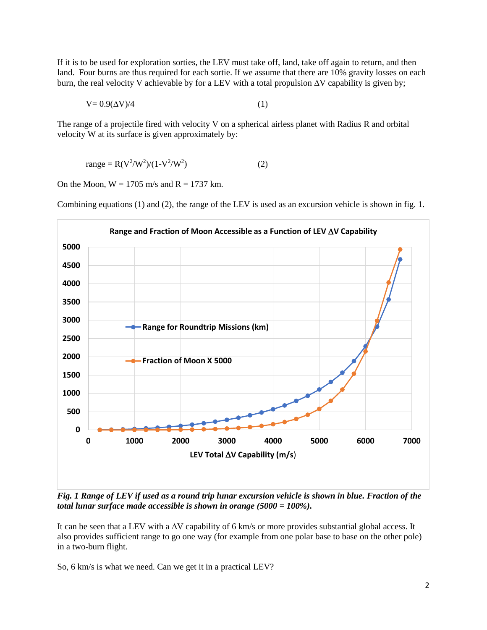If it is to be used for exploration sorties, the LEV must take off, land, take off again to return, and then land. Four burns are thus required for each sortie. If we assume that there are 10% gravity losses on each burn, the real velocity V achievable by for a LEV with a total propulsion  $\Delta V$  capability is given by;

$$
V = 0.9(\Delta V)/4\tag{1}
$$

The range of a projectile fired with velocity V on a spherical airless planet with Radius R and orbital velocity W at its surface is given approximately by:

range = 
$$
R(V^2/W^2)/(1-V^2/W^2)
$$
 (2)

On the Moon,  $W = 1705$  m/s and  $R = 1737$  km.

Combining equations (1) and (2), the range of the LEV is used as an excursion vehicle is shown in fig. 1.



*Fig. 1 Range of LEV if used as a round trip lunar excursion vehicle is shown in blue. Fraction of the total lunar surface made accessible is shown in orange (5000 = 100%).*

It can be seen that a LEV with a  $\Delta V$  capability of 6 km/s or more provides substantial global access. It also provides sufficient range to go one way (for example from one polar base to base on the other pole) in a two-burn flight.

So, 6 km/s is what we need. Can we get it in a practical LEV?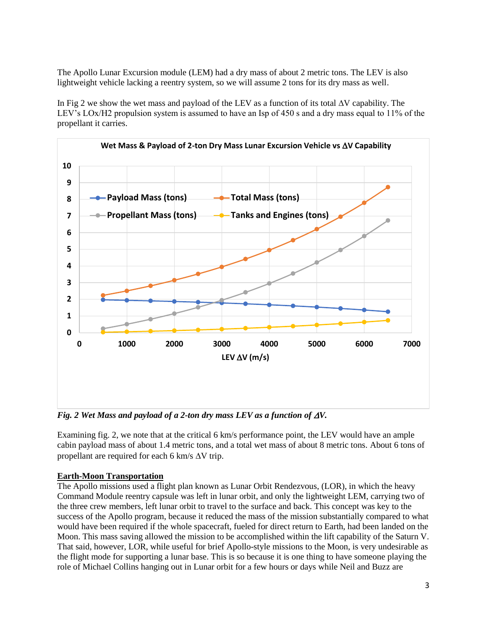The Apollo Lunar Excursion module (LEM) had a dry mass of about 2 metric tons. The LEV is also lightweight vehicle lacking a reentry system, so we will assume 2 tons for its dry mass as well.

In Fig 2 we show the wet mass and payload of the LEV as a function of its total  $\Delta V$  capability. The LEV's LOx/H2 propulsion system is assumed to have an Isp of 450 s and a dry mass equal to 11% of the propellant it carries.



*Fig. 2 Wet Mass and payload of a 2-ton dry mass LEV as a function of*  $\Delta V$ *.* 

Examining fig. 2, we note that at the critical 6 km/s performance point, the LEV would have an ample cabin payload mass of about 1.4 metric tons, and a total wet mass of about 8 metric tons. About 6 tons of propellant are required for each 6 km/s  $\Delta V$  trip.

## **Earth-Moon Transportation**

The Apollo missions used a flight plan known as Lunar Orbit Rendezvous, (LOR), in which the heavy Command Module reentry capsule was left in lunar orbit, and only the lightweight LEM, carrying two of the three crew members, left lunar orbit to travel to the surface and back. This concept was key to the success of the Apollo program, because it reduced the mass of the mission substantially compared to what would have been required if the whole spacecraft, fueled for direct return to Earth, had been landed on the Moon. This mass saving allowed the mission to be accomplished within the lift capability of the Saturn V. That said, however, LOR, while useful for brief Apollo-style missions to the Moon, is very undesirable as the flight mode for supporting a lunar base. This is so because it is one thing to have someone playing the role of Michael Collins hanging out in Lunar orbit for a few hours or days while Neil and Buzz are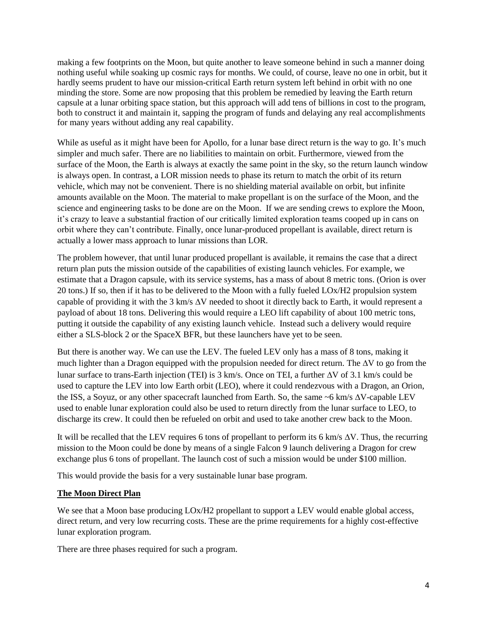making a few footprints on the Moon, but quite another to leave someone behind in such a manner doing nothing useful while soaking up cosmic rays for months. We could, of course, leave no one in orbit, but it hardly seems prudent to have our mission-critical Earth return system left behind in orbit with no one minding the store. Some are now proposing that this problem be remedied by leaving the Earth return capsule at a lunar orbiting space station, but this approach will add tens of billions in cost to the program, both to construct it and maintain it, sapping the program of funds and delaying any real accomplishments for many years without adding any real capability.

While as useful as it might have been for Apollo, for a lunar base direct return is the way to go. It's much simpler and much safer. There are no liabilities to maintain on orbit. Furthermore, viewed from the surface of the Moon, the Earth is always at exactly the same point in the sky, so the return launch window is always open. In contrast, a LOR mission needs to phase its return to match the orbit of its return vehicle, which may not be convenient. There is no shielding material available on orbit, but infinite amounts available on the Moon. The material to make propellant is on the surface of the Moon, and the science and engineering tasks to be done are on the Moon. If we are sending crews to explore the Moon, it's crazy to leave a substantial fraction of our critically limited exploration teams cooped up in cans on orbit where they can't contribute. Finally, once lunar-produced propellant is available, direct return is actually a lower mass approach to lunar missions than LOR.

The problem however, that until lunar produced propellant is available, it remains the case that a direct return plan puts the mission outside of the capabilities of existing launch vehicles. For example, we estimate that a Dragon capsule, with its service systems, has a mass of about 8 metric tons. (Orion is over 20 tons.) If so, then if it has to be delivered to the Moon with a fully fueled LOx/H2 propulsion system capable of providing it with the 3 km/s  $\Delta V$  needed to shoot it directly back to Earth, it would represent a payload of about 18 tons. Delivering this would require a LEO lift capability of about 100 metric tons, putting it outside the capability of any existing launch vehicle. Instead such a delivery would require either a SLS-block 2 or the SpaceX BFR, but these launchers have yet to be seen.

But there is another way. We can use the LEV. The fueled LEV only has a mass of 8 tons, making it much lighter than a Dragon equipped with the propulsion needed for direct return. The  $\Delta V$  to go from the lunar surface to trans-Earth injection (TEI) is 3 km/s. Once on TEI, a further  $\Delta V$  of 3.1 km/s could be used to capture the LEV into low Earth orbit (LEO), where it could rendezvous with a Dragon, an Orion, the ISS, a Soyuz, or any other spacecraft launched from Earth. So, the same  $~6$  km/s  $\Delta V$ -capable LEV used to enable lunar exploration could also be used to return directly from the lunar surface to LEO, to discharge its crew. It could then be refueled on orbit and used to take another crew back to the Moon.

It will be recalled that the LEV requires 6 tons of propellant to perform its 6 km/s  $\Delta V$ . Thus, the recurring mission to the Moon could be done by means of a single Falcon 9 launch delivering a Dragon for crew exchange plus 6 tons of propellant. The launch cost of such a mission would be under \$100 million.

This would provide the basis for a very sustainable lunar base program.

### **The Moon Direct Plan**

We see that a Moon base producing LOx/H2 propellant to support a LEV would enable global access, direct return, and very low recurring costs. These are the prime requirements for a highly cost-effective lunar exploration program.

There are three phases required for such a program.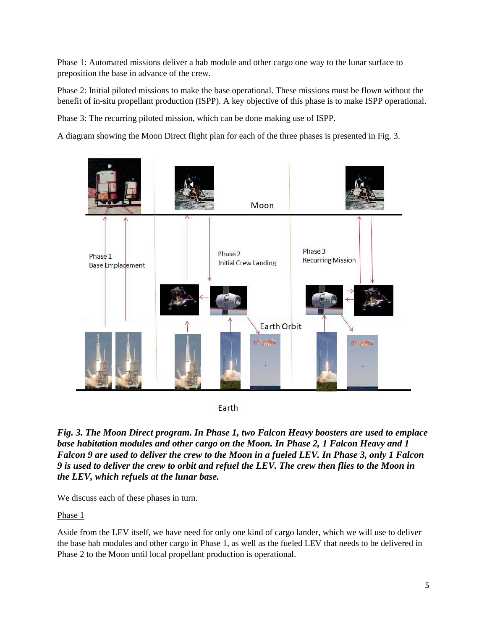Phase 1: Automated missions deliver a hab module and other cargo one way to the lunar surface to preposition the base in advance of the crew.

Phase 2: Initial piloted missions to make the base operational. These missions must be flown without the benefit of in-situ propellant production (ISPP). A key objective of this phase is to make ISPP operational.

Phase 3: The recurring piloted mission, which can be done making use of ISPP.

A diagram showing the Moon Direct flight plan for each of the three phases is presented in Fig. 3.



Earth

*Fig. 3. The Moon Direct program. In Phase 1, two Falcon Heavy boosters are used to emplace base habitation modules and other cargo on the Moon. In Phase 2, 1 Falcon Heavy and 1 Falcon 9 are used to deliver the crew to the Moon in a fueled LEV. In Phase 3, only 1 Falcon 9 is used to deliver the crew to orbit and refuel the LEV. The crew then flies to the Moon in the LEV, which refuels at the lunar base.*

We discuss each of these phases in turn.

Phase 1

Aside from the LEV itself, we have need for only one kind of cargo lander, which we will use to deliver the base hab modules and other cargo in Phase 1, as well as the fueled LEV that needs to be delivered in Phase 2 to the Moon until local propellant production is operational.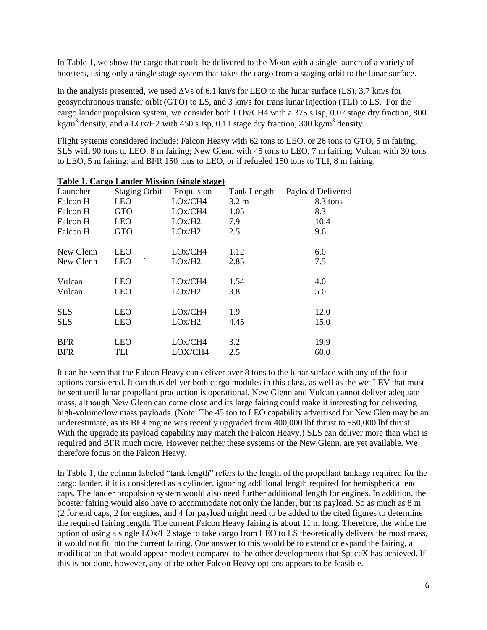In Table 1, we show the cargo that could be delivered to the Moon with a single launch of a variety of boosters, using only a single stage system that takes the cargo from a staging orbit to the lunar surface.

In the analysis presented, we used  $\Delta Vs$  of 6.1 km/s for LEO to the lunar surface (LS), 3.7 km/s for geosynchronous transfer orbit (GTO) to LS, and 3 km/s for trans lunar injection (TLI) to LS. For the cargo lander propulsion system, we consider both LOx/CH4 with a 375 s Isp, 0.07 stage dry fraction, 800 kg/m<sup>3</sup> density, and a LOx/H2 with 450 s Isp, 0.11 stage dry fraction, 300 kg/m<sup>3</sup> density.

Flight systems considered include: Falcon Heavy with 62 tons to LEO, or 26 tons to GTO, 5 m fairing; SLS with 90 tons to LEO, 8 m fairing; New Glenn with 45 tons to LEO, 7 m fairing; Vulcan with 30 tons to LEO, 5 m fairing; and BFR 150 tons to LEO, or if refueled 150 tons to TLI, 8 m fairing.

| Table 1. Cargo Langer Mission (single stage) |                      |            |                 |                   |  |  |  |
|----------------------------------------------|----------------------|------------|-----------------|-------------------|--|--|--|
| Launcher                                     | <b>Staging Orbit</b> | Propulsion | Tank Length     | Payload Delivered |  |  |  |
| Falcon H                                     | <b>LEO</b>           | LOx/CH4    | $3.2 \text{ m}$ | 8.3 tons          |  |  |  |
| Falcon H                                     | <b>GTO</b>           | LOx/CH4    | 1.05            | 8.3               |  |  |  |
| Falcon H                                     | <b>LEO</b>           | LOx/H2     | 7.9             | 10.4              |  |  |  |
| Falcon H                                     | <b>GTO</b>           | LOx/H2     | 2.5             | 9.6               |  |  |  |
| New Glenn                                    | <b>LEO</b>           | LOx/CH4    | 1.12            | 6.0               |  |  |  |
| New Glenn                                    | ↖<br><b>LEO</b>      | LOx/H2     | 2.85            | 7.5               |  |  |  |
| Vulcan                                       | <b>LEO</b>           | LOx/CH4    | 1.54            | 4.0               |  |  |  |
| Vulcan                                       | <b>LEO</b>           | LOx/H2     | 3.8             | 5.0               |  |  |  |
| <b>SLS</b>                                   | <b>LEO</b>           | LOx/CH4    | 1.9             | 12.0              |  |  |  |
| <b>SLS</b>                                   | <b>LEO</b>           | LOx/H2     | 4.45            | 15.0              |  |  |  |
| <b>BFR</b>                                   | <b>LEO</b>           | LOx/CH4    | 3.2             | 19.9              |  |  |  |
| <b>BFR</b>                                   | TLI                  | LOX/CH4    | 2.5             | 60.0              |  |  |  |
|                                              |                      |            |                 |                   |  |  |  |

## **Table 1. Cargo Lander Mission (single stage)**

It can be seen that the Falcon Heavy can deliver over 8 tons to the lunar surface with any of the four options considered. It can thus deliver both cargo modules in this class, as well as the wet LEV that must be sent until lunar propellant production is operational. New Glenn and Vulcan cannot deliver adequate mass, although New Glenn can come close and its large fairing could make it interesting for delivering high-volume/low mass payloads. (Note: The 45 ton to LEO capability advertised for New Glen may be an underestimate, as its BE4 engine was recently upgraded from 400,000 lbf thrust to 550,000 lbf thrust. With the upgrade its payload capability may match the Falcon Heavy.) SLS can deliver more than what is required and BFR much more. However neither these systems or the New Glenn, are yet available. We therefore focus on the Falcon Heavy.

In Table 1, the column labeled "tank length" refers to the length of the propellant tankage required for the cargo lander, if it is considered as a cylinder, ignoring additional length required for hemispherical end caps. The lander propulsion system would also need further additional length for engines. In addition, the booster fairing would also have to accommodate not only the lander, but its payload. So as much as 8 m (2 for end caps, 2 for engines, and 4 for payload might need to be added to the cited figures to determine the required fairing length. The current Falcon Heavy fairing is about 11 m long. Therefore, the while the option of using a single LOx/H2 stage to take cargo from LEO to LS theoretically delivers the most mass, it would not fit into the current fairing. One answer to this would be to extend or expand the fairing, a modification that would appear modest compared to the other developments that SpaceX has achieved. If this is not done, however, any of the other Falcon Heavy options appears to be feasible.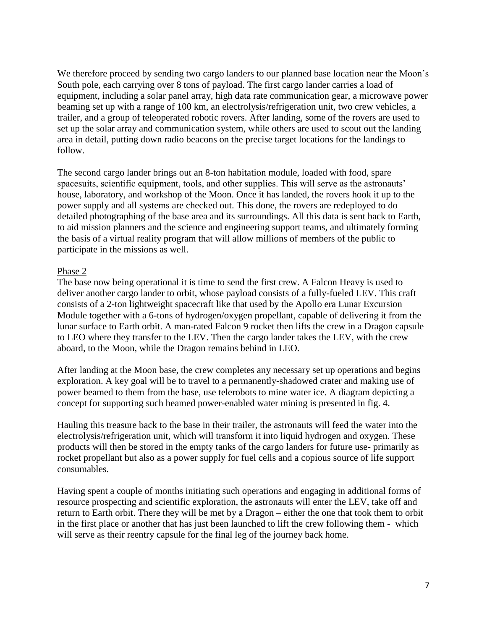We therefore proceed by sending two cargo landers to our planned base location near the Moon's South pole, each carrying over 8 tons of payload. The first cargo lander carries a load of equipment, including a solar panel array, high data rate communication gear, a microwave power beaming set up with a range of 100 km, an electrolysis/refrigeration unit, two crew vehicles, a trailer, and a group of teleoperated robotic rovers. After landing, some of the rovers are used to set up the solar array and communication system, while others are used to scout out the landing area in detail, putting down radio beacons on the precise target locations for the landings to follow.

The second cargo lander brings out an 8-ton habitation module, loaded with food, spare spacesuits, scientific equipment, tools, and other supplies. This will serve as the astronauts' house, laboratory, and workshop of the Moon. Once it has landed, the rovers hook it up to the power supply and all systems are checked out. This done, the rovers are redeployed to do detailed photographing of the base area and its surroundings. All this data is sent back to Earth, to aid mission planners and the science and engineering support teams, and ultimately forming the basis of a virtual reality program that will allow millions of members of the public to participate in the missions as well.

## Phase 2

The base now being operational it is time to send the first crew. A Falcon Heavy is used to deliver another cargo lander to orbit, whose payload consists of a fully-fueled LEV. This craft consists of a 2-ton lightweight spacecraft like that used by the Apollo era Lunar Excursion Module together with a 6-tons of hydrogen/oxygen propellant, capable of delivering it from the lunar surface to Earth orbit. A man-rated Falcon 9 rocket then lifts the crew in a Dragon capsule to LEO where they transfer to the LEV. Then the cargo lander takes the LEV, with the crew aboard, to the Moon, while the Dragon remains behind in LEO.

After landing at the Moon base, the crew completes any necessary set up operations and begins exploration. A key goal will be to travel to a permanently-shadowed crater and making use of power beamed to them from the base, use telerobots to mine water ice. A diagram depicting a concept for supporting such beamed power-enabled water mining is presented in fig. 4.

Hauling this treasure back to the base in their trailer, the astronauts will feed the water into the electrolysis/refrigeration unit, which will transform it into liquid hydrogen and oxygen. These products will then be stored in the empty tanks of the cargo landers for future use- primarily as rocket propellant but also as a power supply for fuel cells and a copious source of life support consumables.

Having spent a couple of months initiating such operations and engaging in additional forms of resource prospecting and scientific exploration, the astronauts will enter the LEV, take off and return to Earth orbit. There they will be met by a Dragon – either the one that took them to orbit in the first place or another that has just been launched to lift the crew following them - which will serve as their reentry capsule for the final leg of the journey back home.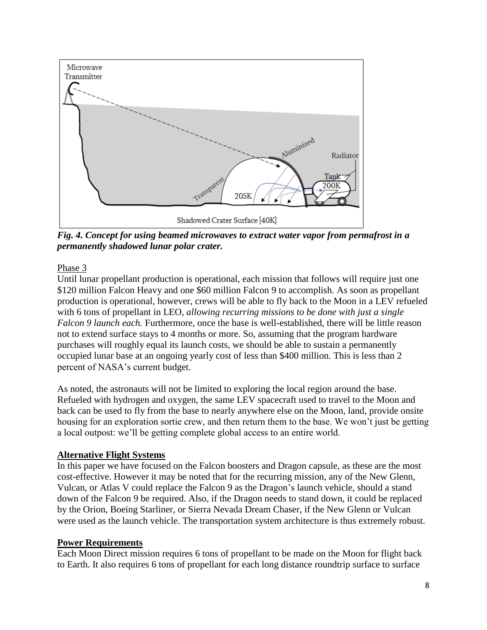

*Fig. 4. Concept for using beamed microwaves to extract water vapor from permafrost in a permanently shadowed lunar polar crater.*

Phase 3

Until lunar propellant production is operational, each mission that follows will require just one \$120 million Falcon Heavy and one \$60 million Falcon 9 to accomplish. As soon as propellant production is operational, however, crews will be able to fly back to the Moon in a LEV refueled with 6 tons of propellant in LEO, *allowing recurring missions to be done with just a single Falcon 9 launch each.* Furthermore, once the base is well-established, there will be little reason not to extend surface stays to 4 months or more. So, assuming that the program hardware purchases will roughly equal its launch costs, we should be able to sustain a permanently occupied lunar base at an ongoing yearly cost of less than \$400 million. This is less than 2 percent of NASA's current budget.

As noted, the astronauts will not be limited to exploring the local region around the base. Refueled with hydrogen and oxygen, the same LEV spacecraft used to travel to the Moon and back can be used to fly from the base to nearly anywhere else on the Moon, land, provide onsite housing for an exploration sortie crew, and then return them to the base. We won't just be getting a local outpost: we'll be getting complete global access to an entire world.

# **Alternative Flight Systems**

In this paper we have focused on the Falcon boosters and Dragon capsule, as these are the most cost-effective. However it may be noted that for the recurring mission, any of the New Glenn, Vulcan, or Atlas V could replace the Falcon 9 as the Dragon's launch vehicle, should a stand down of the Falcon 9 be required. Also, if the Dragon needs to stand down, it could be replaced by the Orion, Boeing Starliner, or Sierra Nevada Dream Chaser, if the New Glenn or Vulcan were used as the launch vehicle. The transportation system architecture is thus extremely robust.

## **Power Requirements**

Each Moon Direct mission requires 6 tons of propellant to be made on the Moon for flight back to Earth. It also requires 6 tons of propellant for each long distance roundtrip surface to surface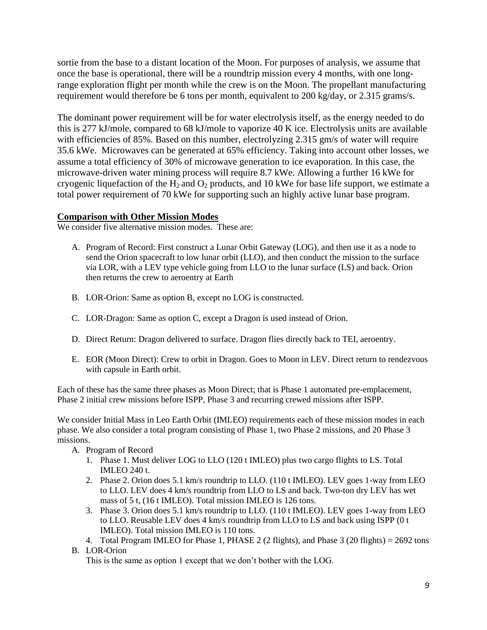sortie from the base to a distant location of the Moon. For purposes of analysis, we assume that once the base is operational, there will be a roundtrip mission every 4 months, with one longrange exploration flight per month while the crew is on the Moon. The propellant manufacturing requirement would therefore be 6 tons per month, equivalent to 200 kg/day, or 2.315 grams/s.

The dominant power requirement will be for water electrolysis itself, as the energy needed to do this is 277 kJ/mole, compared to 68 kJ/mole to vaporize 40 K ice. Electrolysis units are available with efficiencies of 85%. Based on this number, electrolyzing 2.315 gm/s of water will require 35.6 kWe. Microwaves can be generated at 65% efficiency. Taking into account other losses, we assume a total efficiency of 30% of microwave generation to ice evaporation. In this case, the microwave-driven water mining process will require 8.7 kWe. Allowing a further 16 kWe for cryogenic liquefaction of the  $H_2$  and  $O_2$  products, and 10 kWe for base life support, we estimate a total power requirement of 70 kWe for supporting such an highly active lunar base program.

## **Comparison with Other Mission Modes**

We consider five alternative mission modes. These are:

- A. Program of Record: First construct a Lunar Orbit Gateway (LOG), and then use it as a node to send the Orion spacecraft to low lunar orbit (LLO), and then conduct the mission to the surface via LOR, with a LEV type vehicle going from LLO to the lunar surface (LS) and back. Orion then returns the crew to aeroentry at Earth
- B. LOR-Orion: Same as option B, except no LOG is constructed.
- C. LOR-Dragon: Same as option C, except a Dragon is used instead of Orion.
- D. Direct Return: Dragon delivered to surface. Dragon flies directly back to TEI, aeroentry.
- E. EOR (Moon Direct): Crew to orbit in Dragon. Goes to Moon in LEV. Direct return to rendezvous with capsule in Earth orbit.

Each of these has the same three phases as Moon Direct; that is Phase 1 automated pre-emplacement, Phase 2 initial crew missions before ISPP, Phase 3 and recurring crewed missions after ISPP.

We consider Initial Mass in Leo Earth Orbit (IMLEO) requirements each of these mission modes in each phase. We also consider a total program consisting of Phase 1, two Phase 2 missions, and 20 Phase 3 missions.

- A. Program of Record
	- 1. Phase 1. Must deliver LOG to LLO (120 t IMLEO) plus two cargo flights to LS. Total IMLEO 240 t.
	- 2. Phase 2. Orion does 5.1 km/s roundtrip to LLO. (110 t IMLEO). LEV goes 1-way from LEO to LLO. LEV does 4 km/s roundtrip from LLO to LS and back. Two-ton dry LEV has wet mass of 5 t, (16 t IMLEO). Total mission IMLEO is 126 tons.
	- 3. Phase 3. Orion does 5.1 km/s roundtrip to LLO. (110 t IMLEO). LEV goes 1-way from LEO to LLO. Reusable LEV does 4 km/s roundtrip from LLO to LS and back using ISPP (0 t IMLEO). Total mission IMLEO is 110 tons.
	- 4. Total Program IMLEO for Phase 1, PHASE 2 (2 flights), and Phase 3 (20 flights) = 2692 tons
- B. LOR-Orion

This is the same as option 1 except that we don't bother with the LOG.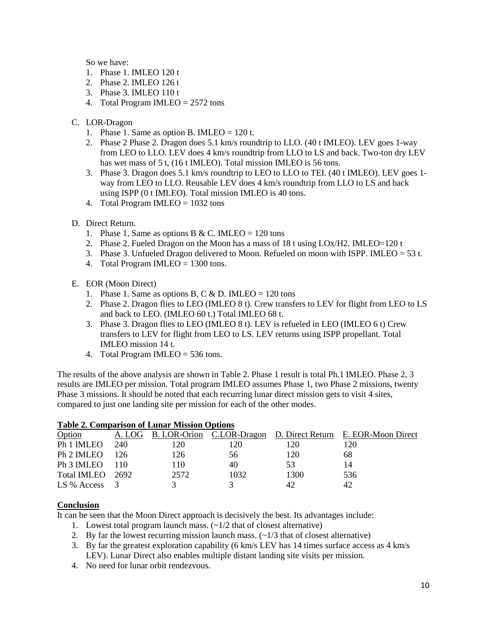So we have:

- 1. Phase 1. IMLEO 120 t
- 2. Phase 2. IMLEO 126 t
- 3. Phase 3. IMLEO 110 t
- 4. Total Program IMLEO = 2572 tons
- C. LOR-Dragon
	- 1. Phase 1. Same as option B. IMLEO =  $120$  t.
	- 2. Phase 2 Phase 2. Dragon does 5.1 km/s roundtrip to LLO. (40 t IMLEO). LEV goes 1-way from LEO to LLO. LEV does 4 km/s roundtrip from LLO to LS and back. Two-ton dry LEV has wet mass of 5 t, (16 t IMLEO). Total mission IMLEO is 56 tons.
	- 3. Phase 3. Dragon does 5.1 km/s roundtrip to LEO to LLO to TEI. (40 t IMLEO). LEV goes 1 way from LEO to LLO. Reusable LEV does 4 km/s roundtrip from LLO to LS and back using ISPP (0 t IMLEO). Total mission IMLEO is 40 tons.
	- 4. Total Program IMLEO = 1032 tons
- D. Direct Return.
	- 1. Phase 1, Same as options B & C. IMLEO = 120 tons
	- 2. Phase 2. Fueled Dragon on the Moon has a mass of 18 t using  $LOx/H2$ . IMLEO=120 t
	- 3. Phase 3. Unfueled Dragon delivered to Moon. Refueled on moon with ISPP. IMLEO = 53 t.
	- 4. Total Program IMLEO = 1300 tons.
- E. EOR (Moon Direct)
	- 1. Phase 1. Same as options B, C & D. IMLEO = 120 tons
	- 2. Phase 2. Dragon flies to LEO (IMLEO 8 t). Crew transfers to LEV for flight from LEO to LS and back to LEO. (IMLEO 60 t.) Total IMLEO 68 t.
	- 3. Phase 3. Dragon flies to LEO (IMLEO 8 t). LEV is refueled in LEO (IMLEO 6 t) Crew transfers to LEV for flight from LEO to LS. LEV returns using ISPP propellant. Total IMLEO mission 14 t.
	- 4. Total Program IMLEO = 536 tons.

The results of the above analysis are shown in Table 2. Phase 1 result is total Ph.1 IMLEO. Phase 2, 3 results are IMLEO per mission. Total program IMLEO assumes Phase 1, two Phase 2 missions, twenty Phase 3 missions. It should be noted that each recurring lunar direct mission gets to visit 4 sites, compared to just one landing site per mission for each of the other modes.

| Table 2. Comparison of Lunar Mission Options |      |      |      |      |                                                                      |  |  |  |
|----------------------------------------------|------|------|------|------|----------------------------------------------------------------------|--|--|--|
| Option                                       |      |      |      |      | A. LOG B. LOR-Orion C.LOR-Dragon D. Direct Return E. EOR-Moon Direct |  |  |  |
| Ph 1 IMLEO                                   | -240 | 120  | 120  | 120  | 120                                                                  |  |  |  |
| Ph 2 IMLEO                                   | 126  | 126  | 56   | 120  | 68                                                                   |  |  |  |
| Ph 3 IMLEO                                   | 110  | 110  | 40   | 53   | 14                                                                   |  |  |  |
| Total IMLEO 2692                             |      | 2572 | 1032 | 1300 | 536                                                                  |  |  |  |
| $LS \%$ Access 3                             |      |      |      | 42   | 42                                                                   |  |  |  |
|                                              |      |      |      |      |                                                                      |  |  |  |

# **Table 2. Comparison of Lunar Mission Options**

### **Conclusion**

It can be seen that the Moon Direct approach is decisively the best. Its advantages include:

- 1. Lowest total program launch mass.  $(\sim 1/2)$  that of closest alternative)
- 2. By far the lowest recurring mission launch mass.  $\left(\frac{1}{3} \text{ that of closest alternative}\right)$
- 3. By far the greatest exploration capability (6 km/s LEV has 14 times surface access as 4 km/s LEV). Lunar Direct also enables multiple distant landing site visits per mission.
- 4. No need for lunar orbit rendezvous.